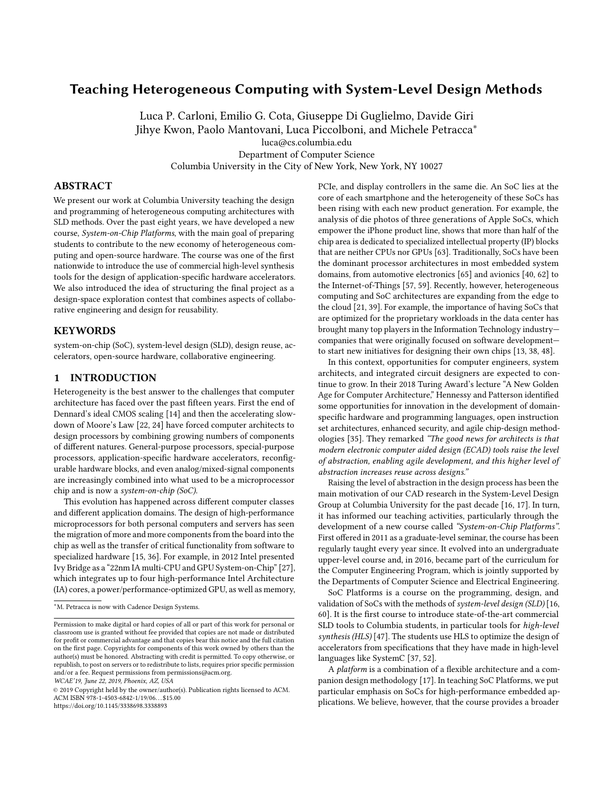# Teaching Heterogeneous Computing with System-Level Design Methods

Luca P. Carloni, Emilio G. Cota, Giuseppe Di Guglielmo, Davide Giri Jihye Kwon, Paolo Mantovani, Luca Piccolboni, and Michele Petracca∗ luca@cs.columbia.edu Department of Computer Science Columbia University in the City of New York, New York, NY 10027

#### ABSTRACT

We present our work at Columbia University teaching the design and programming of heterogeneous computing architectures with SLD methods. Over the past eight years, we have developed a new course, System-on-Chip Platforms, with the main goal of preparing students to contribute to the new economy of heterogeneous computing and open-source hardware. The course was one of the first nationwide to introduce the use of commercial high-level synthesis tools for the design of application-specific hardware accelerators. We also introduced the idea of structuring the final project as a design-space exploration contest that combines aspects of collaborative engineering and design for reusability.

## **KEYWORDS**

system-on-chip (SoC), system-level design (SLD), design reuse, accelerators, open-source hardware, collaborative engineering.

#### 1 INTRODUCTION

Heterogeneity is the best answer to the challenges that computer architecture has faced over the past fifteen years. First the end of Dennard's ideal CMOS scaling [\[14\]](#page-7-0) and then the accelerating slowdown of Moore's Law [\[22,](#page-7-1) [24\]](#page-7-2) have forced computer architects to design processors by combining growing numbers of components of different natures. General-purpose processors, special-purpose processors, application-specific hardware accelerators, reconfigurable hardware blocks, and even analog/mixed-signal components are increasingly combined into what used to be a microprocessor chip and is now a system-on-chip (SoC).

This evolution has happened across different computer classes and different application domains. The design of high-performance microprocessors for both personal computers and servers has seen the migration of more and more components from the board into the chip as well as the transfer of critical functionality from software to specialized hardware [\[15,](#page-7-3) [36\]](#page-7-4). For example, in 2012 Intel presented Ivy Bridge as a "22nm IA multi-CPU and GPU System-on-Chip" [\[27\]](#page-7-5), which integrates up to four high-performance Intel Architecture (IA) cores, a power/performance-optimized GPU, as well as memory,

WCAE'19, June 22, 2019, Phoenix, AZ, USA

© 2019 Copyright held by the owner/author(s). Publication rights licensed to ACM. ACM ISBN 978-1-4503-6842-1/19/06. . . \$15.00 <https://doi.org/10.1145/3338698.3338893>

PCIe, and display controllers in the same die. An SoC lies at the core of each smartphone and the heterogeneity of these SoCs has been rising with each new product generation. For example, the analysis of die photos of three generations of Apple SoCs, which empower the iPhone product line, shows that more than half of the chip area is dedicated to specialized intellectual property (IP) blocks that are neither CPUs nor GPUs [\[63\]](#page-7-6). Traditionally, SoCs have been the dominant processor architectures in most embedded system domains, from automotive electronics [\[65\]](#page-7-7) and avionics [\[40,](#page-7-8) [62\]](#page-7-9) to the Internet-of-Things [\[57,](#page-7-10) [59\]](#page-7-11). Recently, however, heterogeneous computing and SoC architectures are expanding from the edge to the cloud [\[21,](#page-7-12) [39\]](#page-7-13). For example, the importance of having SoCs that are optimized for the proprietary workloads in the data center has brought many top players in the Information Technology industry companies that were originally focused on software development to start new initiatives for designing their own chips [\[13,](#page-7-14) [38,](#page-7-15) [48\]](#page-7-16).

In this context, opportunities for computer engineers, system architects, and integrated circuit designers are expected to continue to grow. In their 2018 Turing Award's lecture "A New Golden Age for Computer Architecture," Hennessy and Patterson identified some opportunities for innovation in the development of domainspecific hardware and programming languages, open instruction set architectures, enhanced security, and agile chip-design methodologies [\[35\]](#page-7-17). They remarked "The good news for architects is that modern electronic computer aided design (ECAD) tools raise the level of abstraction, enabling agile development, and this higher level of abstraction increases reuse across designs."

Raising the level of abstraction in the design process has been the main motivation of our CAD research in the System-Level Design Group at Columbia University for the past decade [\[16,](#page-7-18) [17\]](#page-7-19). In turn, it has informed our teaching activities, particularly through the development of a new course called "System-on-Chip Platforms". First offered in 2011 as a graduate-level seminar, the course has been regularly taught every year since. It evolved into an undergraduate upper-level course and, in 2016, became part of the curriculum for the Computer Engineering Program, which is jointly supported by the Departments of Computer Science and Electrical Engineering.

SoC Platforms is a course on the programming, design, and validation of SoCs with the methods of system-level design (SLD) [\[16,](#page-7-18) [60\]](#page-7-20). It is the first course to introduce state-of-the-art commercial SLD tools to Columbia students, in particular tools for high-level synthesis (HLS) [\[47\]](#page-7-21). The students use HLS to optimize the design of accelerators from specifications that they have made in high-level languages like SystemC [\[37,](#page-7-22) [52\]](#page-7-23).

A platform is a combination of a flexible architecture and a companion design methodology [\[17\]](#page-7-19). In teaching SoC Platforms, we put particular emphasis on SoCs for high-performance embedded applications. We believe, however, that the course provides a broader

<sup>∗</sup>M. Petracca is now with Cadence Design Systems.

Permission to make digital or hard copies of all or part of this work for personal or classroom use is granted without fee provided that copies are not made or distributed for profit or commercial advantage and that copies bear this notice and the full citation on the first page. Copyrights for components of this work owned by others than the author(s) must be honored. Abstracting with credit is permitted. To copy otherwise, or republish, to post on servers or to redistribute to lists, requires prior specific permission and/or a fee. Request permissions from permissions@acm.org.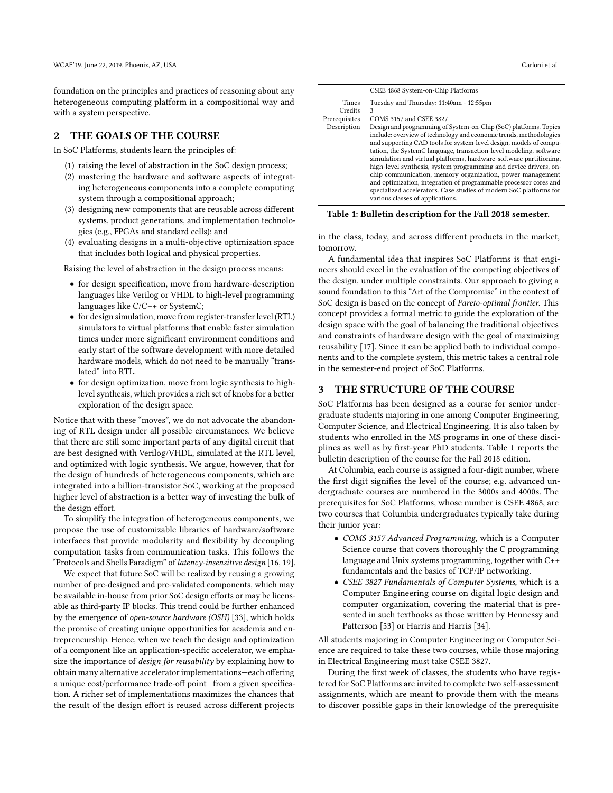foundation on the principles and practices of reasoning about any heterogeneous computing platform in a compositional way and with a system perspective.

#### 2 THE GOALS OF THE COURSE

In SoC Platforms, students learn the principles of:

- (1) raising the level of abstraction in the SoC design process;
- (2) mastering the hardware and software aspects of integrating heterogeneous components into a complete computing system through a compositional approach;
- (3) designing new components that are reusable across different systems, product generations, and implementation technologies (e.g., FPGAs and standard cells); and
- (4) evaluating designs in a multi-objective optimization space that includes both logical and physical properties.

Raising the level of abstraction in the design process means:

- for design specification, move from hardware-description languages like Verilog or VHDL to high-level programming languages like C/C++ or SystemC;
- for design simulation, move from register-transfer level (RTL) simulators to virtual platforms that enable faster simulation times under more significant environment conditions and early start of the software development with more detailed hardware models, which do not need to be manually "translated" into RTL.
- for design optimization, move from logic synthesis to highlevel synthesis, which provides a rich set of knobs for a better exploration of the design space.

Notice that with these "moves", we do not advocate the abandoning of RTL design under all possible circumstances. We believe that there are still some important parts of any digital circuit that are best designed with Verilog/VHDL, simulated at the RTL level, and optimized with logic synthesis. We argue, however, that for the design of hundreds of heterogeneous components, which are integrated into a billion-transistor SoC, working at the proposed higher level of abstraction is a better way of investing the bulk of the design effort.

To simplify the integration of heterogeneous components, we propose the use of customizable libraries of hardware/software interfaces that provide modularity and flexibility by decoupling computation tasks from communication tasks. This follows the "Protocols and Shells Paradigm" of latency-insensitive design [\[16,](#page-7-18) [19\]](#page-7-24).

We expect that future SoC will be realized by reusing a growing number of pre-designed and pre-validated components, which may be available in-house from prior SoC design efforts or may be licensable as third-party IP blocks. This trend could be further enhanced by the emergence of open-source hardware (OSH) [\[33\]](#page-7-25), which holds the promise of creating unique opportunities for academia and entrepreneurship. Hence, when we teach the design and optimization of a component like an application-specific accelerator, we emphasize the importance of design for reusability by explaining how to obtain many alternative accelerator implementations—each offering a unique cost/performance trade-off point—from a given specification. A richer set of implementations maximizes the chances that the result of the design effort is reused across different projects

<span id="page-1-0"></span>

|               | CSEE 4868 System-on-Chip Platforms                                                                                                                                                                                                                                                                                                                                                                                                                                                                                                                                                                                                                                      |  |
|---------------|-------------------------------------------------------------------------------------------------------------------------------------------------------------------------------------------------------------------------------------------------------------------------------------------------------------------------------------------------------------------------------------------------------------------------------------------------------------------------------------------------------------------------------------------------------------------------------------------------------------------------------------------------------------------------|--|
| <b>Times</b>  | Tuesday and Thursday: 11:40am - 12:55pm                                                                                                                                                                                                                                                                                                                                                                                                                                                                                                                                                                                                                                 |  |
| Credits       | 3                                                                                                                                                                                                                                                                                                                                                                                                                                                                                                                                                                                                                                                                       |  |
| Prerequisites | COMS 3157 and CSEE 3827                                                                                                                                                                                                                                                                                                                                                                                                                                                                                                                                                                                                                                                 |  |
| Description   | Design and programming of System-on-Chip (SoC) platforms. Topics<br>include: overview of technology and economic trends, methodologies<br>and supporting CAD tools for system-level design, models of compu-<br>tation, the SystemC language, transaction-level modeling, software<br>simulation and virtual platforms, hardware-software partitioning,<br>high-level synthesis, system programming and device drivers, on-<br>chip communication, memory organization, power management<br>and optimization, integration of programmable processor cores and<br>specialized accelerators. Case studies of modern SoC platforms for<br>various classes of applications. |  |

Table 1: Bulletin description for the Fall 2018 semester.

in the class, today, and across different products in the market, tomorrow.

A fundamental idea that inspires SoC Platforms is that engineers should excel in the evaluation of the competing objectives of the design, under multiple constraints. Our approach to giving a sound foundation to this "Art of the Compromise" in the context of SoC design is based on the concept of Pareto-optimal frontier. This concept provides a formal metric to guide the exploration of the design space with the goal of balancing the traditional objectives and constraints of hardware design with the goal of maximizing reusability [\[17\]](#page-7-19). Since it can be applied both to individual components and to the complete system, this metric takes a central role in the semester-end project of SoC Platforms.

## <span id="page-1-1"></span>3 THE STRUCTURE OF THE COURSE

SoC Platforms has been designed as a course for senior undergraduate students majoring in one among Computer Engineering, Computer Science, and Electrical Engineering. It is also taken by students who enrolled in the MS programs in one of these disciplines as well as by first-year PhD students. Table [1](#page-1-0) reports the bulletin description of the course for the Fall 2018 edition.

At Columbia, each course is assigned a four-digit number, where the first digit signifies the level of the course; e.g. advanced undergraduate courses are numbered in the 3000s and 4000s. The prerequisites for SoC Platforms, whose number is CSEE 4868, are two courses that Columbia undergraduates typically take during their junior year:

- COMS 3157 Advanced Programming, which is a Computer Science course that covers thoroughly the C programming language and Unix systems programming, together with C++ fundamentals and the basics of TCP/IP networking.
- CSEE 3827 Fundamentals of Computer Systems, which is a Computer Engineering course on digital logic design and computer organization, covering the material that is presented in such textbooks as those written by Hennessy and Patterson [\[53\]](#page-7-26) or Harris and Harris [\[34\]](#page-7-27).

All students majoring in Computer Engineering or Computer Science are required to take these two courses, while those majoring in Electrical Engineering must take CSEE 3827.

During the first week of classes, the students who have registered for SoC Platforms are invited to complete two self-assessment assignments, which are meant to provide them with the means to discover possible gaps in their knowledge of the prerequisite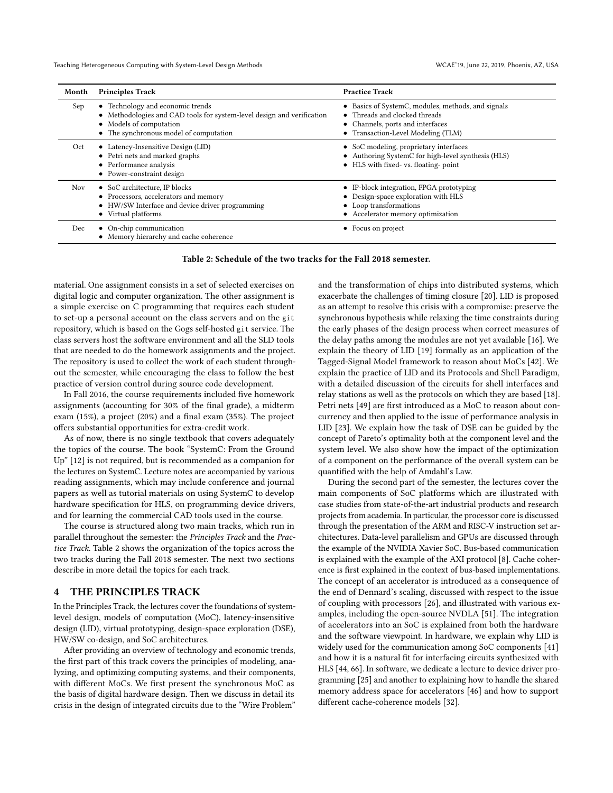Teaching Heterogeneous Computing with System-Level Design Methods WCAE'19, June 22, 2019, Phoenix, AZ, USA

<span id="page-2-0"></span>

| Month      | <b>Principles Track</b>                                                                                                                                                         | <b>Practice Track</b>                                                                                                                                         |
|------------|---------------------------------------------------------------------------------------------------------------------------------------------------------------------------------|---------------------------------------------------------------------------------------------------------------------------------------------------------------|
| Sep        | • Technology and economic trends<br>• Methodologies and CAD tools for system-level design and verification<br>• Models of computation<br>• The synchronous model of computation | • Basics of SystemC, modules, methods, and signals<br>• Threads and clocked threads<br>• Channels, ports and interfaces<br>• Transaction-Level Modeling (TLM) |
| Oct        | • Latency-Insensitive Design (LID)<br>• Petri nets and marked graphs<br>• Performance analysis<br>• Power-constraint design                                                     | • SoC modeling, proprietary interfaces<br>• Authoring SystemC for high-level synthesis (HLS)<br>• HLS with fixed- vs. floating- point                         |
| <b>Nov</b> | • SoC architecture, IP blocks<br>• Processors, accelerators and memory<br>• HW/SW Interface and device driver programming<br>• Virtual platforms                                | • IP-block integration, FPGA prototyping<br>• Design-space exploration with HLS<br>• Loop transformations<br>• Accelerator memory optimization                |
| Dec        | • On-chip communication<br>• Memory hierarchy and cache coherence                                                                                                               | • Focus on project                                                                                                                                            |

#### Table 2: Schedule of the two tracks for the Fall 2018 semester.

material. One assignment consists in a set of selected exercises on digital logic and computer organization. The other assignment is a simple exercise on C programming that requires each student to set-up a personal account on the class servers and on the git repository, which is based on the Gogs self-hosted git service. The class servers host the software environment and all the SLD tools that are needed to do the homework assignments and the project. The repository is used to collect the work of each student throughout the semester, while encouraging the class to follow the best practice of version control during source code development.

In Fall 2016, the course requirements included five homework assignments (accounting for 30% of the final grade), a midterm exam (15%), a project (20%) and a final exam (35%). The project offers substantial opportunities for extra-credit work.

As of now, there is no single textbook that covers adequately the topics of the course. The book "SystemC: From the Ground Up" [\[12\]](#page-7-28) is not required, but is recommended as a companion for the lectures on SystemC. Lecture notes are accompanied by various reading assignments, which may include conference and journal papers as well as tutorial materials on using SystemC to develop hardware specification for HLS, on programming device drivers, and for learning the commercial CAD tools used in the course.

The course is structured along two main tracks, which run in parallel throughout the semester: the Principles Track and the Practice Track. Table [2](#page-2-0) shows the organization of the topics across the two tracks during the Fall 2018 semester. The next two sections describe in more detail the topics for each track.

#### 4 THE PRINCIPLES TRACK

In the Principles Track, the lectures cover the foundations of systemlevel design, models of computation (MoC), latency-insensitive design (LID), virtual prototyping, design-space exploration (DSE), HW/SW co-design, and SoC architectures.

After providing an overview of technology and economic trends, the first part of this track covers the principles of modeling, analyzing, and optimizing computing systems, and their components, with different MoCs. We first present the synchronous MoC as the basis of digital hardware design. Then we discuss in detail its crisis in the design of integrated circuits due to the "Wire Problem"

and the transformation of chips into distributed systems, which exacerbate the challenges of timing closure [\[20\]](#page-7-29). LID is proposed as an attempt to resolve this crisis with a compromise: preserve the synchronous hypothesis while relaxing the time constraints during the early phases of the design process when correct measures of the delay paths among the modules are not yet available [\[16\]](#page-7-18). We explain the theory of LID [\[19\]](#page-7-24) formally as an application of the Tagged-Signal Model framework to reason about MoCs [\[42\]](#page-7-30). We explain the practice of LID and its Protocols and Shell Paradigm, with a detailed discussion of the circuits for shell interfaces and relay stations as well as the protocols on which they are based [\[18\]](#page-7-31). Petri nets [\[49\]](#page-7-32) are first introduced as a MoC to reason about concurrency and then applied to the issue of performance analysis in LID [\[23\]](#page-7-33). We explain how the task of DSE can be guided by the concept of Pareto's optimality both at the component level and the system level. We also show how the impact of the optimization of a component on the performance of the overall system can be quantified with the help of Amdahl's Law.

During the second part of the semester, the lectures cover the main components of SoC platforms which are illustrated with case studies from state-of-the-art industrial products and research projects from academia. In particular, the processor core is discussed through the presentation of the ARM and RISC-V instruction set architectures. Data-level parallelism and GPUs are discussed through the example of the NVIDIA Xavier SoC. Bus-based communication is explained with the example of the AXI protocol [\[8\]](#page-7-34). Cache coherence is first explained in the context of bus-based implementations. The concept of an accelerator is introduced as a consequence of the end of Dennard's scaling, discussed with respect to the issue of coupling with processors [\[26\]](#page-7-35), and illustrated with various examples, including the open-source NVDLA [\[51\]](#page-7-36). The integration of accelerators into an SoC is explained from both the hardware and the software viewpoint. In hardware, we explain why LID is widely used for the communication among SoC components [\[41\]](#page-7-37) and how it is a natural fit for interfacing circuits synthesized with HLS [\[44,](#page-7-38) [66\]](#page-7-39). In software, we dedicate a lecture to device driver programming [\[25\]](#page-7-40) and another to explaining how to handle the shared memory address space for accelerators [\[46\]](#page-7-41) and how to support different cache-coherence models [\[32\]](#page-7-42).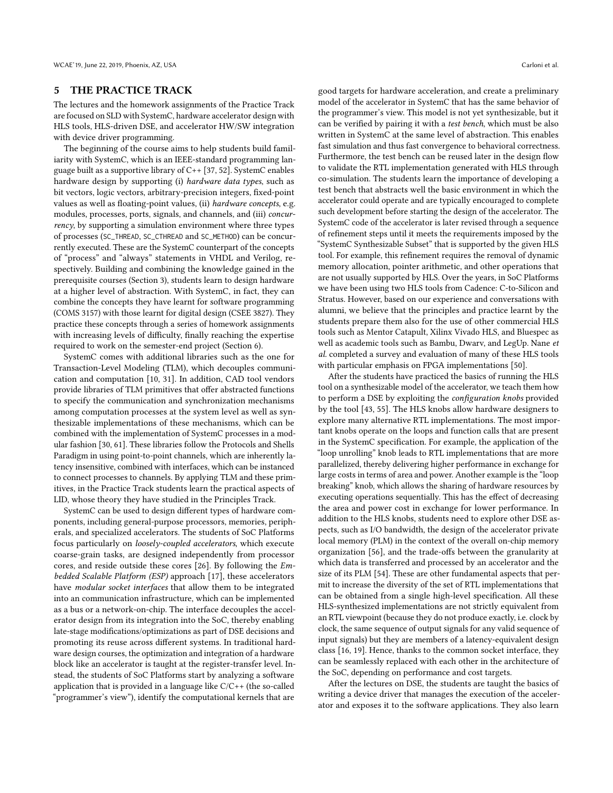#### 5 THE PRACTICE TRACK

The lectures and the homework assignments of the Practice Track are focused on SLD with SystemC, hardware accelerator design with HLS tools, HLS-driven DSE, and accelerator HW/SW integration with device driver programming.

The beginning of the course aims to help students build familiarity with SystemC, which is an IEEE-standard programming language built as a supportive library of C++ [\[37,](#page-7-22) [52\]](#page-7-23). SystemC enables hardware design by supporting (i) hardware data types, such as bit vectors, logic vectors, arbitrary-precision integers, fixed-point values as well as floating-point values, (ii) hardware concepts, e.g. modules, processes, ports, signals, and channels, and (iii) concurrency, by supporting a simulation environment where three types of processes (SC\_THREAD, SC\_CTHREAD and SC\_METHOD) can be concurrently executed. These are the SystemC counterpart of the concepts of "process" and "always" statements in VHDL and Verilog, respectively. Building and combining the knowledge gained in the prerequisite courses (Section [3\)](#page-1-1), students learn to design hardware at a higher level of abstraction. With SystemC, in fact, they can combine the concepts they have learnt for software programming (COMS 3157) with those learnt for digital design (CSEE 3827). They practice these concepts through a series of homework assignments with increasing levels of difficulty, finally reaching the expertise required to work on the semester-end project (Section [6\)](#page-4-0).

SystemC comes with additional libraries such as the one for Transaction-Level Modeling (TLM), which decouples communication and computation [\[10,](#page-7-43) [31\]](#page-7-44). In addition, CAD tool vendors provide libraries of TLM primitives that offer abstracted functions to specify the communication and synchronization mechanisms among computation processes at the system level as well as synthesizable implementations of these mechanisms, which can be combined with the implementation of SystemC processes in a modular fashion [\[30,](#page-7-45) [61\]](#page-7-46). These libraries follow the Protocols and Shells Paradigm in using point-to-point channels, which are inherently latency insensitive, combined with interfaces, which can be instanced to connect processes to channels. By applying TLM and these primitives, in the Practice Track students learn the practical aspects of LID, whose theory they have studied in the Principles Track.

SystemC can be used to design different types of hardware components, including general-purpose processors, memories, peripherals, and specialized accelerators. The students of SoC Platforms focus particularly on loosely-coupled accelerators, which execute coarse-grain tasks, are designed independently from processor cores, and reside outside these cores [\[26\]](#page-7-35). By following the Embedded Scalable Platform (ESP) approach [\[17\]](#page-7-19), these accelerators have modular socket interfaces that allow them to be integrated into an communication infrastructure, which can be implemented as a bus or a network-on-chip. The interface decouples the accelerator design from its integration into the SoC, thereby enabling late-stage modifications/optimizations as part of DSE decisions and promoting its reuse across different systems. In traditional hardware design courses, the optimization and integration of a hardware block like an accelerator is taught at the register-transfer level. Instead, the students of SoC Platforms start by analyzing a software application that is provided in a language like C/C++ (the so-called "programmer's view"), identify the computational kernels that are

good targets for hardware acceleration, and create a preliminary model of the accelerator in SystemC that has the same behavior of the programmer's view. This model is not yet synthesizable, but it can be verified by pairing it with a test bench, which must be also written in SystemC at the same level of abstraction. This enables fast simulation and thus fast convergence to behavioral correctness. Furthermore, the test bench can be reused later in the design flow to validate the RTL implementation generated with HLS through co-simulation. The students learn the importance of developing a test bench that abstracts well the basic environment in which the accelerator could operate and are typically encouraged to complete such development before starting the design of the accelerator. The SystemC code of the accelerator is later revised through a sequence of refinement steps until it meets the requirements imposed by the "SystemC Synthesizable Subset" that is supported by the given HLS tool. For example, this refinement requires the removal of dynamic memory allocation, pointer arithmetic, and other operations that are not usually supported by HLS. Over the years, in SoC Platforms we have been using two HLS tools from Cadence: C-to-Silicon and Stratus. However, based on our experience and conversations with alumni, we believe that the principles and practice learnt by the students prepare them also for the use of other commercial HLS tools such as Mentor Catapult, Xilinx Vivado HLS, and Bluespec as well as academic tools such as Bambu, Dwarv, and LegUp. Nane et al. completed a survey and evaluation of many of these HLS tools with particular emphasis on FPGA implementations [\[50\]](#page-7-47).

After the students have practiced the basics of running the HLS tool on a synthesizable model of the accelerator, we teach them how to perform a DSE by exploiting the configuration knobs provided by the tool [\[43,](#page-7-48) [55\]](#page-7-49). The HLS knobs allow hardware designers to explore many alternative RTL implementations. The most important knobs operate on the loops and function calls that are present in the SystemC specification. For example, the application of the "loop unrolling" knob leads to RTL implementations that are more parallelized, thereby delivering higher performance in exchange for large costs in terms of area and power. Another example is the "loop breaking" knob, which allows the sharing of hardware resources by executing operations sequentially. This has the effect of decreasing the area and power cost in exchange for lower performance. In addition to the HLS knobs, students need to explore other DSE aspects, such as I/O bandwidth, the design of the accelerator private local memory (PLM) in the context of the overall on-chip memory organization [\[56\]](#page-7-50), and the trade-offs between the granularity at which data is transferred and processed by an accelerator and the size of its PLM [\[54\]](#page-7-51). These are other fundamental aspects that permit to increase the diversity of the set of RTL implementations that can be obtained from a single high-level specification. All these HLS-synthesized implementations are not strictly equivalent from an RTL viewpoint (because they do not produce exactly, i.e. clock by clock, the same sequence of output signals for any valid sequence of input signals) but they are members of a latency-equivalent design class [\[16,](#page-7-18) [19\]](#page-7-24). Hence, thanks to the common socket interface, they can be seamlessly replaced with each other in the architecture of the SoC, depending on performance and cost targets.

After the lectures on DSE, the students are taught the basics of writing a device driver that manages the execution of the accelerator and exposes it to the software applications. They also learn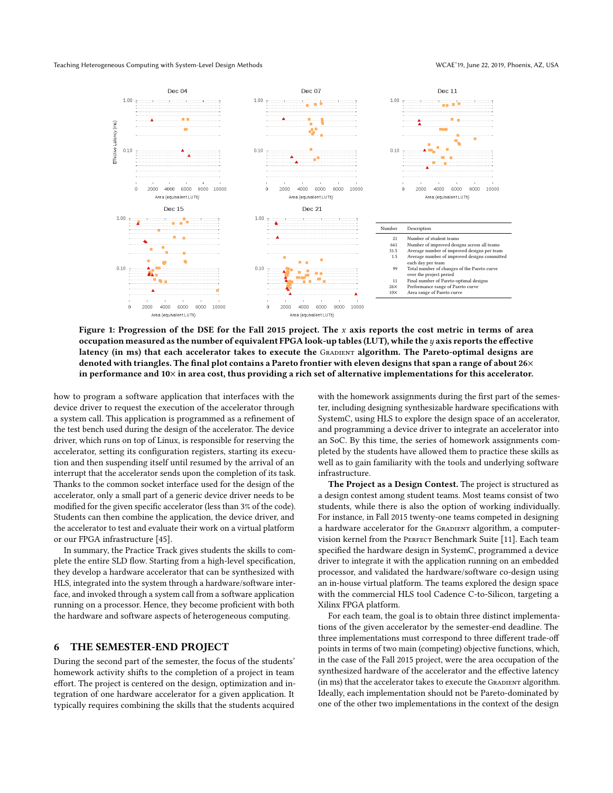#### <span id="page-4-1"></span>Teaching Heterogeneous Computing with System-Level Design Methods WCAE'19, June 22, 2019, Phoenix, AZ, USA



Figure 1: Progression of the DSE for the Fall 2015 project. The x axis reports the cost metric in terms of area occupation measured as the number of equivalent FPGA look-up tables (LUT), while they axis reports the effective latency (in ms) that each accelerator takes to execute the GRADIENT algorithm. The Pareto-optimal designs are denoted with triangles. The final plot contains a Pareto frontier with eleven designs that span a range of about 26× in performance and  $10\times$  in area cost, thus providing a rich set of alternative implementations for this accelerator.

how to program a software application that interfaces with the device driver to request the execution of the accelerator through a system call. This application is programmed as a refinement of the test bench used during the design of the accelerator. The device driver, which runs on top of Linux, is responsible for reserving the accelerator, setting its configuration registers, starting its execution and then suspending itself until resumed by the arrival of an interrupt that the accelerator sends upon the completion of its task. Thanks to the common socket interface used for the design of the accelerator, only a small part of a generic device driver needs to be modified for the given specific accelerator (less than 3% of the code). Students can then combine the application, the device driver, and the accelerator to test and evaluate their work on a virtual platform or our FPGA infrastructure [\[45\]](#page-7-52).

In summary, the Practice Track gives students the skills to complete the entire SLD flow. Starting from a high-level specification, they develop a hardware accelerator that can be synthesized with HLS, integrated into the system through a hardware/software interface, and invoked through a system call from a software application running on a processor. Hence, they become proficient with both the hardware and software aspects of heterogeneous computing.

#### <span id="page-4-0"></span>6 THE SEMESTER-END PROJECT

During the second part of the semester, the focus of the students' homework activity shifts to the completion of a project in team effort. The project is centered on the design, optimization and integration of one hardware accelerator for a given application. It typically requires combining the skills that the students acquired

with the homework assignments during the first part of the semester, including designing synthesizable hardware specifications with SystemC, using HLS to explore the design space of an accelerator, and programming a device driver to integrate an accelerator into an SoC. By this time, the series of homework assignments completed by the students have allowed them to practice these skills as well as to gain familiarity with the tools and underlying software infrastructure.

The Project as a Design Contest. The project is structured as a design contest among student teams. Most teams consist of two students, while there is also the option of working individually. For instance, in Fall 2015 twenty-one teams competed in designing a hardware accelerator for the GRADIENT algorithm, a computer-vision kernel from the PERFECT Benchmark Suite [\[11\]](#page-7-53). Each team specified the hardware design in SystemC, programmed a device driver to integrate it with the application running on an embedded processor, and validated the hardware/software co-design using an in-house virtual platform. The teams explored the design space with the commercial HLS tool Cadence C-to-Silicon, targeting a Xilinx FPGA platform.

For each team, the goal is to obtain three distinct implementations of the given accelerator by the semester-end deadline. The three implementations must correspond to three different trade-off points in terms of two main (competing) objective functions, which, in the case of the Fall 2015 project, were the area occupation of the synthesized hardware of the accelerator and the effective latency (in ms) that the accelerator takes to execute the GRADIENT algorithm. Ideally, each implementation should not be Pareto-dominated by one of the other two implementations in the context of the design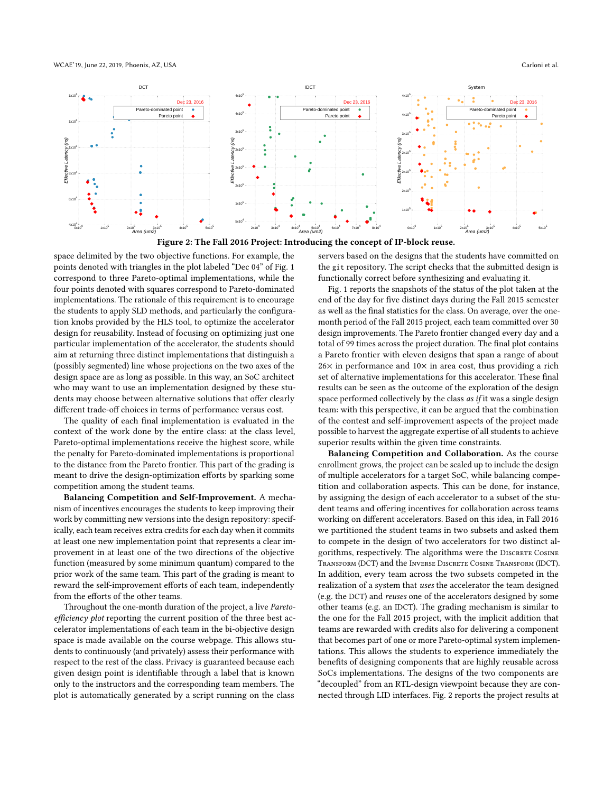<span id="page-5-0"></span>

Figure 2: The Fall 2016 Project: Introducing the concept of IP-block reuse.

space delimited by the two objective functions. For example, the points denoted with triangles in the plot labeled "Dec 04" of Fig. [1](#page-4-1) correspond to three Pareto-optimal implementations, while the four points denoted with squares correspond to Pareto-dominated implementations. The rationale of this requirement is to encourage the students to apply SLD methods, and particularly the configuration knobs provided by the HLS tool, to optimize the accelerator design for reusability. Instead of focusing on optimizing just one particular implementation of the accelerator, the students should aim at returning three distinct implementations that distinguish a (possibly segmented) line whose projections on the two axes of the design space are as long as possible. In this way, an SoC architect who may want to use an implementation designed by these students may choose between alternative solutions that offer clearly different trade-off choices in terms of performance versus cost.

The quality of each final implementation is evaluated in the context of the work done by the entire class: at the class level, Pareto-optimal implementations receive the highest score, while the penalty for Pareto-dominated implementations is proportional to the distance from the Pareto frontier. This part of the grading is meant to drive the design-optimization efforts by sparking some competition among the student teams.

Balancing Competition and Self-Improvement. A mechanism of incentives encourages the students to keep improving their work by committing new versions into the design repository: specifically, each team receives extra credits for each day when it commits at least one new implementation point that represents a clear improvement in at least one of the two directions of the objective function (measured by some minimum quantum) compared to the prior work of the same team. This part of the grading is meant to reward the self-improvement efforts of each team, independently from the efforts of the other teams.

Throughout the one-month duration of the project, a live Paretoefficiency plot reporting the current position of the three best accelerator implementations of each team in the bi-objective design space is made available on the course webpage. This allows students to continuously (and privately) assess their performance with respect to the rest of the class. Privacy is guaranteed because each given design point is identifiable through a label that is known only to the instructors and the corresponding team members. The plot is automatically generated by a script running on the class

servers based on the designs that the students have committed on the git repository. The script checks that the submitted design is functionally correct before synthesizing and evaluating it.

Fig. [1](#page-4-1) reports the snapshots of the status of the plot taken at the end of the day for five distinct days during the Fall 2015 semester as well as the final statistics for the class. On average, over the onemonth period of the Fall 2015 project, each team committed over 30 design improvements. The Pareto frontier changed every day and a total of 99 times across the project duration. The final plot contains a Pareto frontier with eleven designs that span a range of about  $26\times$  in performance and  $10\times$  in area cost, thus providing a rich set of alternative implementations for this accelerator. These final results can be seen as the outcome of the exploration of the design space performed collectively by the class as if it was a single design team: with this perspective, it can be argued that the combination of the contest and self-improvement aspects of the project made possible to harvest the aggregate expertise of all students to achieve superior results within the given time constraints.

Balancing Competition and Collaboration. As the course enrollment grows, the project can be scaled up to include the design of multiple accelerators for a target SoC, while balancing competition and collaboration aspects. This can be done, for instance, by assigning the design of each accelerator to a subset of the student teams and offering incentives for collaboration across teams working on different accelerators. Based on this idea, in Fall 2016 we partitioned the student teams in two subsets and asked them to compete in the design of two accelerators for two distinct algorithms, respectively. The algorithms were the DISCRETE COSINE Transform (DCT) and the Inverse Discrete Cosine Transform (IDCT). In addition, every team across the two subsets competed in the realization of a system that uses the accelerator the team designed (e.g. the DCT) and reuses one of the accelerators designed by some other teams (e.g. an IDCT). The grading mechanism is similar to the one for the Fall 2015 project, with the implicit addition that teams are rewarded with credits also for delivering a component that becomes part of one or more Pareto-optimal system implementations. This allows the students to experience immediately the benefits of designing components that are highly reusable across SoCs implementations. The designs of the two components are "decoupled" from an RTL-design viewpoint because they are connected through LID interfaces. Fig. [2](#page-5-0) reports the project results at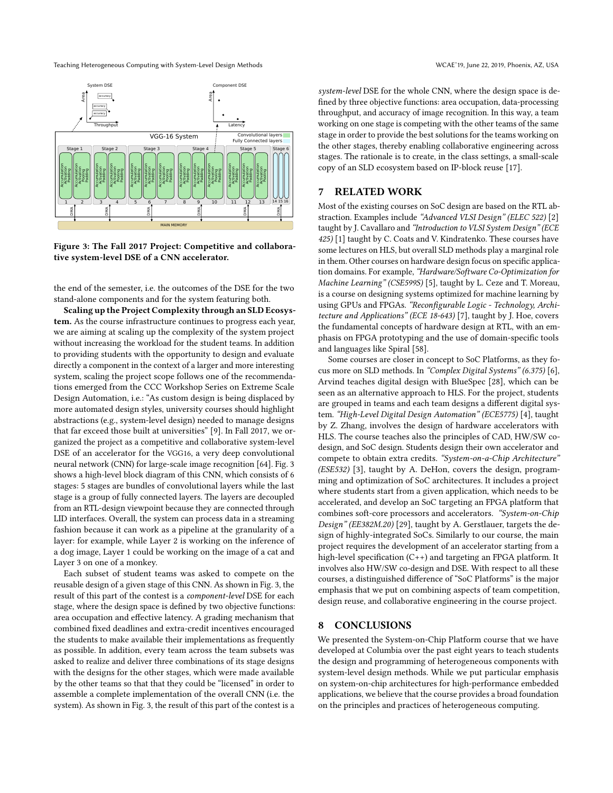Teaching Heterogeneous Computing with System-Level Design Methods WCAE'19, June 22, 2019, Phoenix, AZ, USA

<span id="page-6-0"></span>

Figure 3: The Fall 2017 Project: Competitive and collaborative system-level DSE of a CNN accelerator.

the end of the semester, i.e. the outcomes of the DSE for the two stand-alone components and for the system featuring both.

Scaling up the Project Complexity through an SLD Ecosystem. As the course infrastructure continues to progress each year, we are aiming at scaling up the complexity of the system project without increasing the workload for the student teams. In addition to providing students with the opportunity to design and evaluate directly a component in the context of a larger and more interesting system, scaling the project scope follows one of the recommendations emerged from the CCC Workshop Series on Extreme Scale Design Automation, i.e.: "As custom design is being displaced by more automated design styles, university courses should highlight abstractions (e.g., system-level design) needed to manage designs that far exceed those built at universities" [\[9\]](#page-7-54). In Fall 2017, we organized the project as a competitive and collaborative system-level DSE of an accelerator for the VGG16, a very deep convolutional neural network (CNN) for large-scale image recognition [\[64\]](#page-7-55). Fig. [3](#page-6-0) shows a high-level block diagram of this CNN, which consists of 6 stages: 5 stages are bundles of convolutional layers while the last stage is a group of fully connected layers. The layers are decoupled from an RTL-design viewpoint because they are connected through LID interfaces. Overall, the system can process data in a streaming fashion because it can work as a pipeline at the granularity of a layer: for example, while Layer 2 is working on the inference of a dog image, Layer 1 could be working on the image of a cat and Layer 3 on one of a monkey.

Each subset of student teams was asked to compete on the reusable design of a given stage of this CNN. As shown in Fig. [3,](#page-6-0) the result of this part of the contest is a component-level DSE for each stage, where the design space is defined by two objective functions: area occupation and effective latency. A grading mechanism that combined fixed deadlines and extra-credit incentives encouraged the students to make available their implementations as frequently as possible. In addition, every team across the team subsets was asked to realize and deliver three combinations of its stage designs with the designs for the other stages, which were made available by the other teams so that that they could be "licensed" in order to assemble a complete implementation of the overall CNN (i.e. the system). As shown in Fig. [3,](#page-6-0) the result of this part of the contest is a

system-level DSE for the whole CNN, where the design space is defined by three objective functions: area occupation, data-processing throughput, and accuracy of image recognition. In this way, a team working on one stage is competing with the other teams of the same stage in order to provide the best solutions for the teams working on the other stages, thereby enabling collaborative engineering across stages. The rationale is to create, in the class settings, a small-scale copy of an SLD ecosystem based on IP-block reuse [\[17\]](#page-7-19).

#### 7 RELATED WORK

Most of the existing courses on SoC design are based on the RTL abstraction. Examples include "Advanced VLSI Design" (ELEC 522) [\[2\]](#page-7-56) taught by J. Cavallaro and "Introduction to VLSI System Design" (ECE 425) [\[1\]](#page-7-57) taught by C. Coats and V. Kindratenko. These courses have some lectures on HLS, but overall SLD methods play a marginal role in them. Other courses on hardware design focus on specific application domains. For example, "Hardware/Software Co-Optimization for Machine Learning" (CSE599S) [\[5\]](#page-7-58), taught by L. Ceze and T. Moreau, is a course on designing systems optimized for machine learning by using GPUs and FPGAs. "Reconfigurable Logic - Technology, Architecture and Applications" (ECE 18-643) [\[7\]](#page-7-59), taught by J. Hoe, covers the fundamental concepts of hardware design at RTL, with an emphasis on FPGA prototyping and the use of domain-specific tools and languages like Spiral [\[58\]](#page-7-60).

Some courses are closer in concept to SoC Platforms, as they focus more on SLD methods. In "Complex Digital Systems" (6.375) [\[6\]](#page-7-61), Arvind teaches digital design with BlueSpec [\[28\]](#page-7-62), which can be seen as an alternative approach to HLS. For the project, students are grouped in teams and each team designs a different digital system. "High-Level Digital Design Automation" (ECE5775) [\[4\]](#page-7-63), taught by Z. Zhang, involves the design of hardware accelerators with HLS. The course teaches also the principles of CAD, HW/SW codesign, and SoC design. Students design their own accelerator and compete to obtain extra credits. "System-on-a-Chip Architecture" (ESE532) [\[3\]](#page-7-64), taught by A. DeHon, covers the design, programming and optimization of SoC architectures. It includes a project where students start from a given application, which needs to be accelerated, and develop an SoC targeting an FPGA platform that combines soft-core processors and accelerators. "System-on-Chip Design" (EE382M.20) [\[29\]](#page-7-65), taught by A. Gerstlauer, targets the design of highly-integrated SoCs. Similarly to our course, the main project requires the development of an accelerator starting from a high-level specification (C++) and targeting an FPGA platform. It involves also HW/SW co-design and DSE. With respect to all these courses, a distinguished difference of "SoC Platforms" is the major emphasis that we put on combining aspects of team competition, design reuse, and collaborative engineering in the course project.

#### 8 CONCLUSIONS

We presented the System-on-Chip Platform course that we have developed at Columbia over the past eight years to teach students the design and programming of heterogeneous components with system-level design methods. While we put particular emphasis on system-on-chip architectures for high-performance embedded applications, we believe that the course provides a broad foundation on the principles and practices of heterogeneous computing.